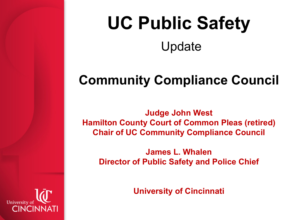# **UC Public Safety**  Update

#### **Community Compliance Council**

**Judge John West Hamilton County Court of Common Pleas (retired) Chair of UC Community Compliance Council**

**James L. Whalen Director of Public Safety and Police Chief**

**University of Cincinnati**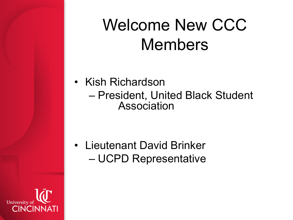### Welcome New CCC Members

• Kish Richardson – President, United Black Student Association

• Lieutenant David Brinker – UCPD Representative

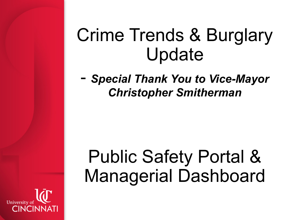## Crime Trends & Burglary Update

- *Special Thank You to Vice-Mayor Christopher Smitherman*

# Public Safety Portal & Managerial Dashboard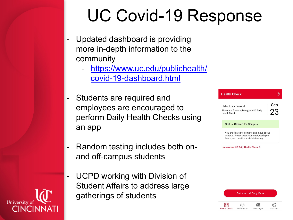### UC Covid-19 Response

- Updated dashboard is providing more in-depth information to the community
	- [https://www.uc.edu/publichealth/](https://www.uc.edu/publichealth/covid-19-dashboard.html) covid-19-dashboard.html
- Students are required and employees are encouraged to perform Daily Health Checks using an app
- Random testing includes both onand off-campus students
- UCPD working with Division of Student Affairs to address large gatherings of students



Learn About UC Daily Health Check >

**Get your UC Daily Pass** 88 ╬  $^{\circledR}$  $\times$ Self-Report Messages **Health Check** Account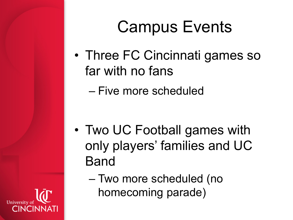### Campus Events

- Three FC Cincinnati games so far with no fans
	- Five more scheduled

- Two UC Football games with only players' families and UC Band
	- Two more scheduled (no homecoming parade)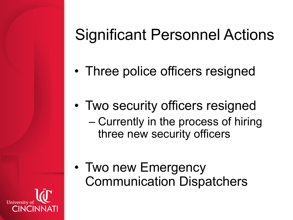#### Significant Personnel Actions

- Three police officers resigned
- Two security officers resigned – Currently in the process of hiring three new security officers
- Two new Emergency Communication Dispatchers
- University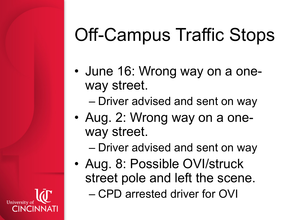# Off-Campus Traffic Stops

- June 16: Wrong way on a oneway street.
	- Driver advised and sent on way
- Aug. 2: Wrong way on a oneway street.
	- Driver advised and sent on way
- Aug. 8: Possible OVI/struck street pole and left the scene. – CPD arrested driver for OVI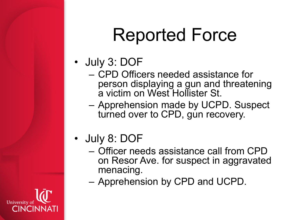# Reported Force

- July 3: DOF
	- CPD Officers needed assistance for person displaying a gun and threatening a victim on West Hollister St.
	- Apprehension made by UCPD. Suspect turned over to CPD, gun recovery.
- July 8: DOF
	- Officer needs assistance call from CPD on Resor Ave. for suspect in aggravated menacing.
	- Apprehension by CPD and UCPD.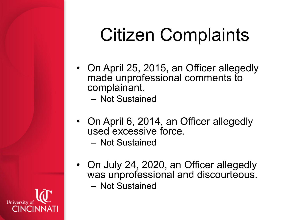# Citizen Complaints

- On April 25, 2015, an Officer allegedly made unprofessional comments to complainant.
	- Not Sustained
- On April 6, 2014, an Officer allegedly used excessive force.
	- Not Sustained
- On July 24, 2020, an Officer allegedly was unprofessional and discourteous. – Not Sustained